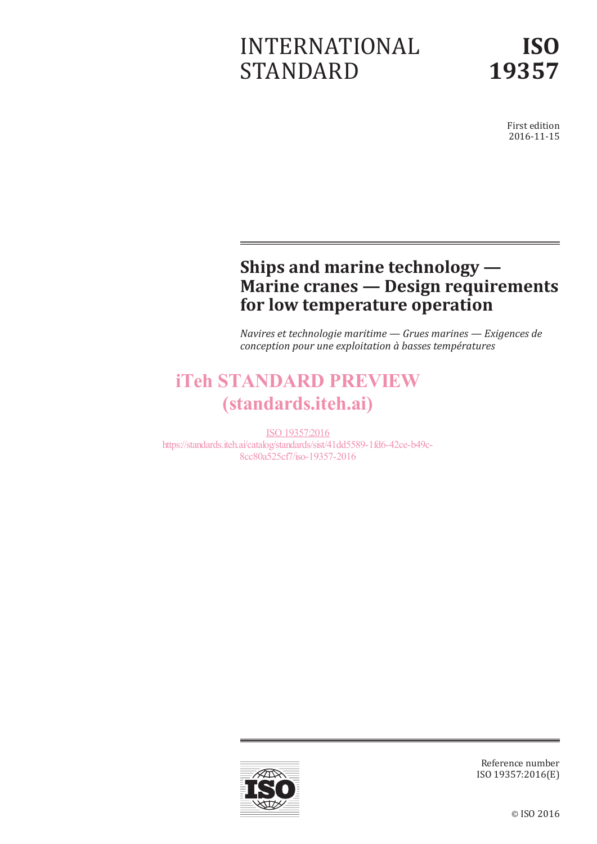# INTERNATIONAL STANDARD

First edition 2016-11-15

# **Ships and marine technology — Marine cranes — Design requirements for low temperature operation**

*Navires et technologie maritime — Grues marines — Exigences de conception pour une exploitation à basses températures*

# iTeh STANDARD PREVIEW (standards.iteh.ai)

ISO 19357:2016 https://standards.iteh.ai/catalog/standards/sist/41dd5589-1fd6-42ce-b49c-8cc80a525cf7/iso-19357-2016



Reference number ISO 19357:2016(E)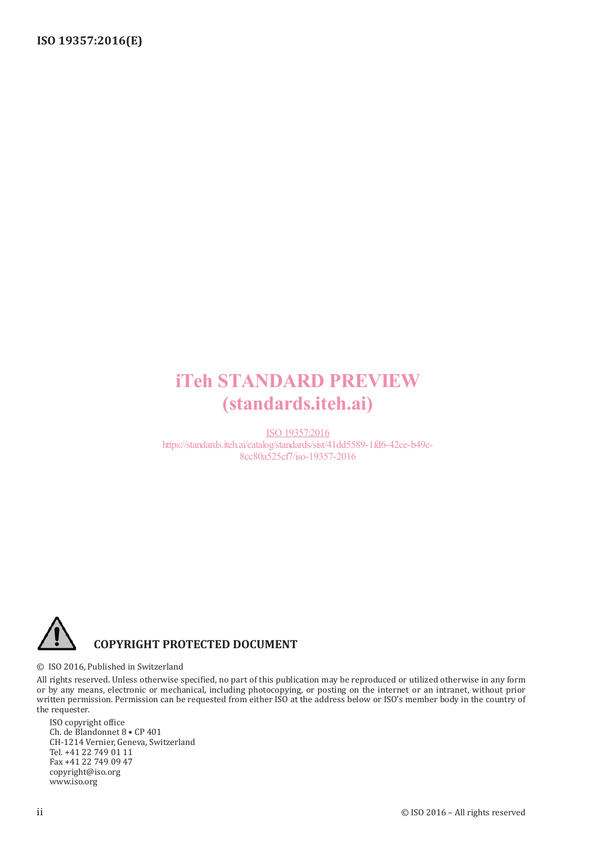# iTeh STANDARD PREVIEW (standards.iteh.ai)

ISO 19357:2016 https://standards.iteh.ai/catalog/standards/sist/41dd5589-1fd6-42ce-b49c-8cc80a525cf7/iso-19357-2016



© ISO 2016, Published in Switzerland

All rights reserved. Unless otherwise specified, no part of this publication may be reproduced or utilized otherwise in any form or by any means, electronic or mechanical, including photocopying, or posting on the internet or an intranet, without prior written permission. Permission can be requested from either ISO at the address below or ISO's member body in the country of the requester.

ISO copyright office Ch. de Blandonnet 8 • CP 401 CH-1214 Vernier, Geneva, Switzerland Tel. +41 22 749 01 11 Fax +41 22 749 09 47 copyright@iso.org www.iso.org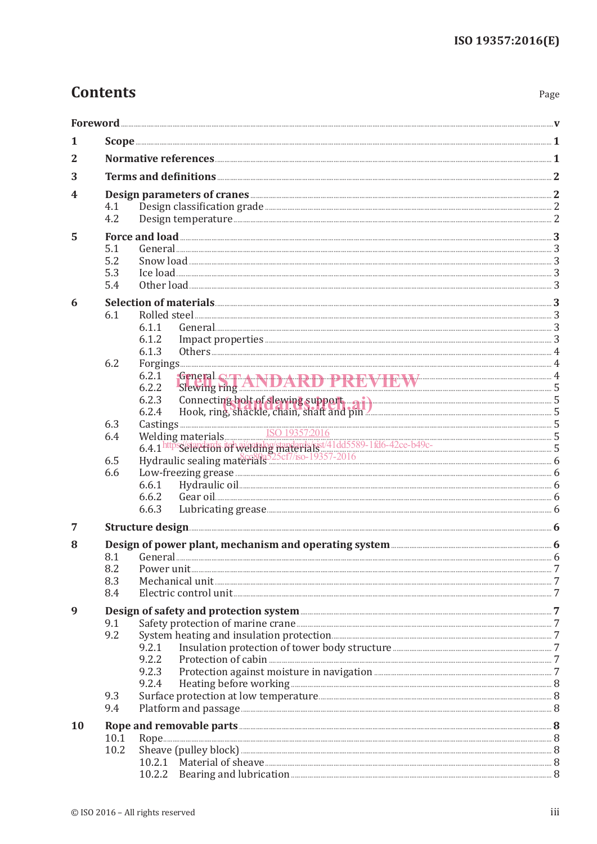# **Contents**

| . .<br>×<br>۹<br>×<br>×<br>v |
|------------------------------|
|------------------------------|

| 1<br>2<br>3<br>4<br>4.1<br>4.2<br>5<br>5.1<br>5.2<br>5.3<br>5.4<br>6<br>6.1<br>Rolled steel <u>the contract of the second steel steel</u> and a second steel the second steel steel steel steel and steel steel and steel steel steel steel and steel steel steel and steel steel and steel steel and steel and st<br>6.1.1<br>6.1.2<br>6.1.3<br>6.2<br>6.2.1<br>Sewing ring ANDARD PREVIEW 35<br>6.2.2<br>Connecting bolt of slewing support and pin and connecting states. 5 Hook, ring, shackle, chain, shaft and pin<br>6.2.3<br>6.2.4<br>6.3<br>6.4<br>6.5<br>6.6<br>6.6.1<br>6.6.2<br>6.6.3<br>Structure design <b>Execution</b> 6<br>7<br>Design of power plant, mechanism and operating system <b>manufactures</b> in the state of the state of the state of the<br>8<br>8.1<br>8.2<br>8.3<br>8.4<br>9<br>9.1<br>9.2<br>9.2.1<br>9.2.2<br>9.2.3<br>9.2.4<br>9.3<br>9.4<br>Platform and passage <b>Matter and passage and all passage and all participal and all passage</b> 3<br>10<br>10.1<br>10.2 |  |  |  |  |  |  |
|-------------------------------------------------------------------------------------------------------------------------------------------------------------------------------------------------------------------------------------------------------------------------------------------------------------------------------------------------------------------------------------------------------------------------------------------------------------------------------------------------------------------------------------------------------------------------------------------------------------------------------------------------------------------------------------------------------------------------------------------------------------------------------------------------------------------------------------------------------------------------------------------------------------------------------------------------------------------------------------------------------------|--|--|--|--|--|--|
|                                                                                                                                                                                                                                                                                                                                                                                                                                                                                                                                                                                                                                                                                                                                                                                                                                                                                                                                                                                                             |  |  |  |  |  |  |
|                                                                                                                                                                                                                                                                                                                                                                                                                                                                                                                                                                                                                                                                                                                                                                                                                                                                                                                                                                                                             |  |  |  |  |  |  |
|                                                                                                                                                                                                                                                                                                                                                                                                                                                                                                                                                                                                                                                                                                                                                                                                                                                                                                                                                                                                             |  |  |  |  |  |  |
|                                                                                                                                                                                                                                                                                                                                                                                                                                                                                                                                                                                                                                                                                                                                                                                                                                                                                                                                                                                                             |  |  |  |  |  |  |
|                                                                                                                                                                                                                                                                                                                                                                                                                                                                                                                                                                                                                                                                                                                                                                                                                                                                                                                                                                                                             |  |  |  |  |  |  |
|                                                                                                                                                                                                                                                                                                                                                                                                                                                                                                                                                                                                                                                                                                                                                                                                                                                                                                                                                                                                             |  |  |  |  |  |  |
|                                                                                                                                                                                                                                                                                                                                                                                                                                                                                                                                                                                                                                                                                                                                                                                                                                                                                                                                                                                                             |  |  |  |  |  |  |
|                                                                                                                                                                                                                                                                                                                                                                                                                                                                                                                                                                                                                                                                                                                                                                                                                                                                                                                                                                                                             |  |  |  |  |  |  |
|                                                                                                                                                                                                                                                                                                                                                                                                                                                                                                                                                                                                                                                                                                                                                                                                                                                                                                                                                                                                             |  |  |  |  |  |  |
|                                                                                                                                                                                                                                                                                                                                                                                                                                                                                                                                                                                                                                                                                                                                                                                                                                                                                                                                                                                                             |  |  |  |  |  |  |
|                                                                                                                                                                                                                                                                                                                                                                                                                                                                                                                                                                                                                                                                                                                                                                                                                                                                                                                                                                                                             |  |  |  |  |  |  |
|                                                                                                                                                                                                                                                                                                                                                                                                                                                                                                                                                                                                                                                                                                                                                                                                                                                                                                                                                                                                             |  |  |  |  |  |  |
|                                                                                                                                                                                                                                                                                                                                                                                                                                                                                                                                                                                                                                                                                                                                                                                                                                                                                                                                                                                                             |  |  |  |  |  |  |
|                                                                                                                                                                                                                                                                                                                                                                                                                                                                                                                                                                                                                                                                                                                                                                                                                                                                                                                                                                                                             |  |  |  |  |  |  |
|                                                                                                                                                                                                                                                                                                                                                                                                                                                                                                                                                                                                                                                                                                                                                                                                                                                                                                                                                                                                             |  |  |  |  |  |  |
|                                                                                                                                                                                                                                                                                                                                                                                                                                                                                                                                                                                                                                                                                                                                                                                                                                                                                                                                                                                                             |  |  |  |  |  |  |
|                                                                                                                                                                                                                                                                                                                                                                                                                                                                                                                                                                                                                                                                                                                                                                                                                                                                                                                                                                                                             |  |  |  |  |  |  |
|                                                                                                                                                                                                                                                                                                                                                                                                                                                                                                                                                                                                                                                                                                                                                                                                                                                                                                                                                                                                             |  |  |  |  |  |  |
|                                                                                                                                                                                                                                                                                                                                                                                                                                                                                                                                                                                                                                                                                                                                                                                                                                                                                                                                                                                                             |  |  |  |  |  |  |
|                                                                                                                                                                                                                                                                                                                                                                                                                                                                                                                                                                                                                                                                                                                                                                                                                                                                                                                                                                                                             |  |  |  |  |  |  |
|                                                                                                                                                                                                                                                                                                                                                                                                                                                                                                                                                                                                                                                                                                                                                                                                                                                                                                                                                                                                             |  |  |  |  |  |  |
|                                                                                                                                                                                                                                                                                                                                                                                                                                                                                                                                                                                                                                                                                                                                                                                                                                                                                                                                                                                                             |  |  |  |  |  |  |
|                                                                                                                                                                                                                                                                                                                                                                                                                                                                                                                                                                                                                                                                                                                                                                                                                                                                                                                                                                                                             |  |  |  |  |  |  |
|                                                                                                                                                                                                                                                                                                                                                                                                                                                                                                                                                                                                                                                                                                                                                                                                                                                                                                                                                                                                             |  |  |  |  |  |  |
|                                                                                                                                                                                                                                                                                                                                                                                                                                                                                                                                                                                                                                                                                                                                                                                                                                                                                                                                                                                                             |  |  |  |  |  |  |
|                                                                                                                                                                                                                                                                                                                                                                                                                                                                                                                                                                                                                                                                                                                                                                                                                                                                                                                                                                                                             |  |  |  |  |  |  |
|                                                                                                                                                                                                                                                                                                                                                                                                                                                                                                                                                                                                                                                                                                                                                                                                                                                                                                                                                                                                             |  |  |  |  |  |  |
|                                                                                                                                                                                                                                                                                                                                                                                                                                                                                                                                                                                                                                                                                                                                                                                                                                                                                                                                                                                                             |  |  |  |  |  |  |
|                                                                                                                                                                                                                                                                                                                                                                                                                                                                                                                                                                                                                                                                                                                                                                                                                                                                                                                                                                                                             |  |  |  |  |  |  |
|                                                                                                                                                                                                                                                                                                                                                                                                                                                                                                                                                                                                                                                                                                                                                                                                                                                                                                                                                                                                             |  |  |  |  |  |  |
|                                                                                                                                                                                                                                                                                                                                                                                                                                                                                                                                                                                                                                                                                                                                                                                                                                                                                                                                                                                                             |  |  |  |  |  |  |
|                                                                                                                                                                                                                                                                                                                                                                                                                                                                                                                                                                                                                                                                                                                                                                                                                                                                                                                                                                                                             |  |  |  |  |  |  |
|                                                                                                                                                                                                                                                                                                                                                                                                                                                                                                                                                                                                                                                                                                                                                                                                                                                                                                                                                                                                             |  |  |  |  |  |  |
|                                                                                                                                                                                                                                                                                                                                                                                                                                                                                                                                                                                                                                                                                                                                                                                                                                                                                                                                                                                                             |  |  |  |  |  |  |
|                                                                                                                                                                                                                                                                                                                                                                                                                                                                                                                                                                                                                                                                                                                                                                                                                                                                                                                                                                                                             |  |  |  |  |  |  |
|                                                                                                                                                                                                                                                                                                                                                                                                                                                                                                                                                                                                                                                                                                                                                                                                                                                                                                                                                                                                             |  |  |  |  |  |  |
|                                                                                                                                                                                                                                                                                                                                                                                                                                                                                                                                                                                                                                                                                                                                                                                                                                                                                                                                                                                                             |  |  |  |  |  |  |
|                                                                                                                                                                                                                                                                                                                                                                                                                                                                                                                                                                                                                                                                                                                                                                                                                                                                                                                                                                                                             |  |  |  |  |  |  |
|                                                                                                                                                                                                                                                                                                                                                                                                                                                                                                                                                                                                                                                                                                                                                                                                                                                                                                                                                                                                             |  |  |  |  |  |  |
|                                                                                                                                                                                                                                                                                                                                                                                                                                                                                                                                                                                                                                                                                                                                                                                                                                                                                                                                                                                                             |  |  |  |  |  |  |
|                                                                                                                                                                                                                                                                                                                                                                                                                                                                                                                                                                                                                                                                                                                                                                                                                                                                                                                                                                                                             |  |  |  |  |  |  |
|                                                                                                                                                                                                                                                                                                                                                                                                                                                                                                                                                                                                                                                                                                                                                                                                                                                                                                                                                                                                             |  |  |  |  |  |  |
|                                                                                                                                                                                                                                                                                                                                                                                                                                                                                                                                                                                                                                                                                                                                                                                                                                                                                                                                                                                                             |  |  |  |  |  |  |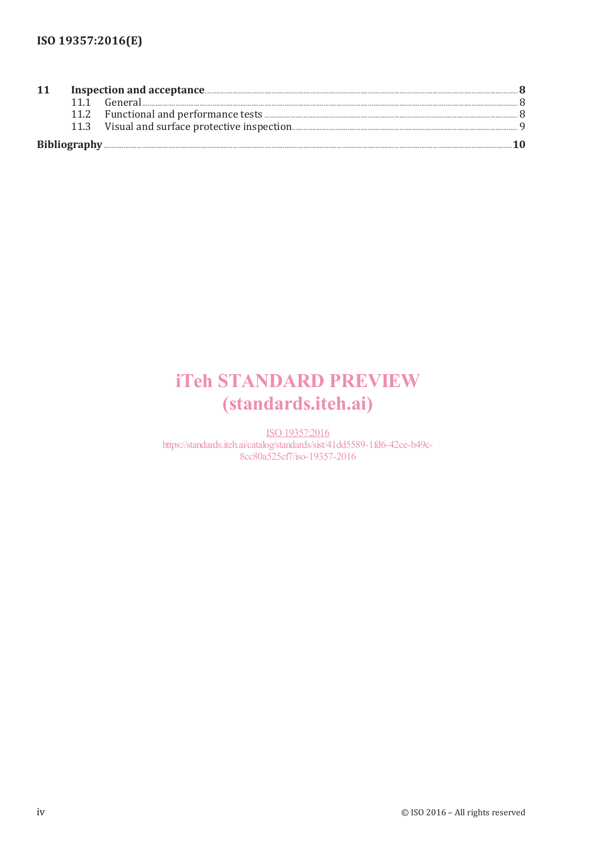| 11 |  |
|----|--|
|    |  |
|    |  |
|    |  |
|    |  |

# **iTeh STANDARD PREVIEW** (standards.iteh.ai)

ISO 19357:2016 https://standards.iteh.ai/catalog/standards/sist/41dd5589-1fd6-42ce-b49c-8cc80a525cf7/iso-19357-2016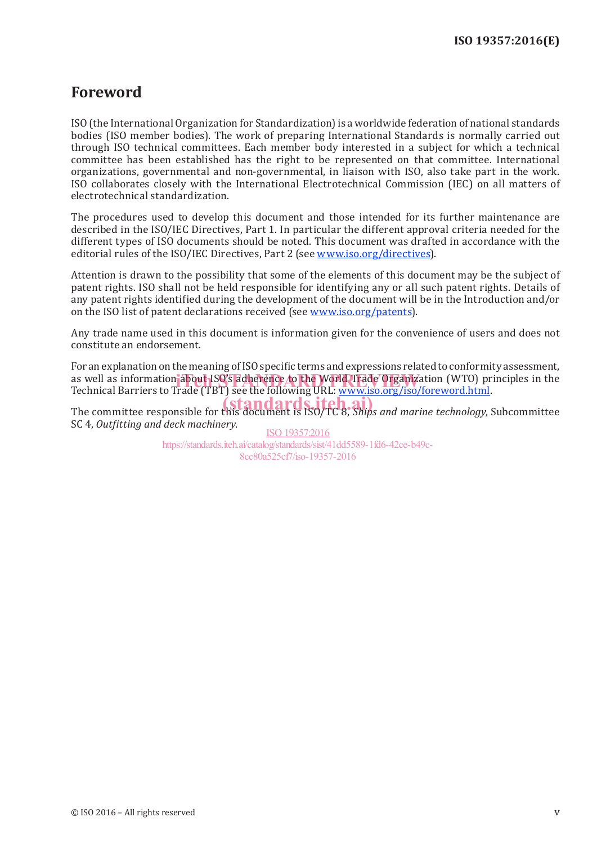## **Foreword**

ISO (the International Organization for Standardization) is a worldwide federation of national standards bodies (ISO member bodies). The work of preparing International Standards is normally carried out through ISO technical committees. Each member body interested in a subject for which a technical committee has been established has the right to be represented on that committee. International organizations, governmental and non-governmental, in liaison with ISO, also take part in the work. ISO collaborates closely with the International Electrotechnical Commission (IEC) on all matters of electrotechnical standardization.

The procedures used to develop this document and those intended for its further maintenance are described in the ISO/IEC Directives, Part 1. In particular the different approval criteria needed for the different types of ISO documents should be noted. This document was drafted in accordance with the editorial rules of the ISO/IEC Directives, Part 2 (see www.iso.org/directives).

Attention is drawn to the possibility that some of the elements of this document may be the subject of patent rights. ISO shall not be held responsible for identifying any or all such patent rights. Details of any patent rights identified during the development of the document will be in the Introduction and/or on the ISO list of patent declarations received (see www.iso.org/patents).

Any trade name used in this document is information given for the convenience of users and does not constitute an endorsement.

For an explanation on the meaning of ISO specific terms and expressions related to conformity assessment, as well as information about ISO's adherence to the World Trade Organization (WTO) principles in the<br>Technical Barriers to Trade (TBT) see the following URL: www.iso.org/iso/foreword html Technical Barriers to Trade (TBT) see the following URL: www.iso.org/iso/foreword.html.

The committee responsible for this document is ISO/TC 8, *Ships and marine technology*, Subcommittee SC 4, *Outfitting and deck machinery*.

ISO 19357:2016 https://standards.iteh.ai/catalog/standards/sist/41dd5589-1fd6-42ce-b49c-8cc80a525cf7/iso-19357-2016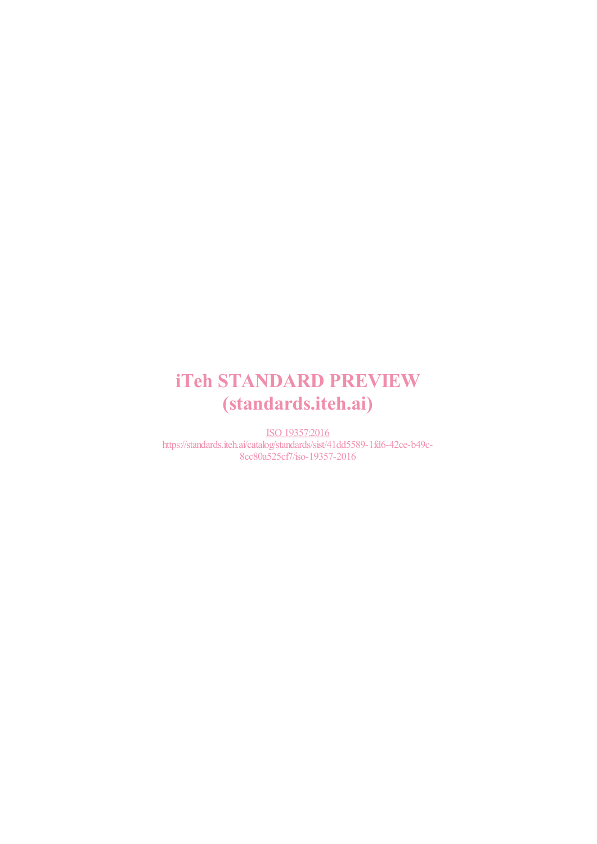# iTeh STANDARD PREVIEW (standards.iteh.ai)

ISO 19357:2016 https://standards.iteh.ai/catalog/standards/sist/41dd5589-1fd6-42ce-b49c-8cc80a525cf7/iso-19357-2016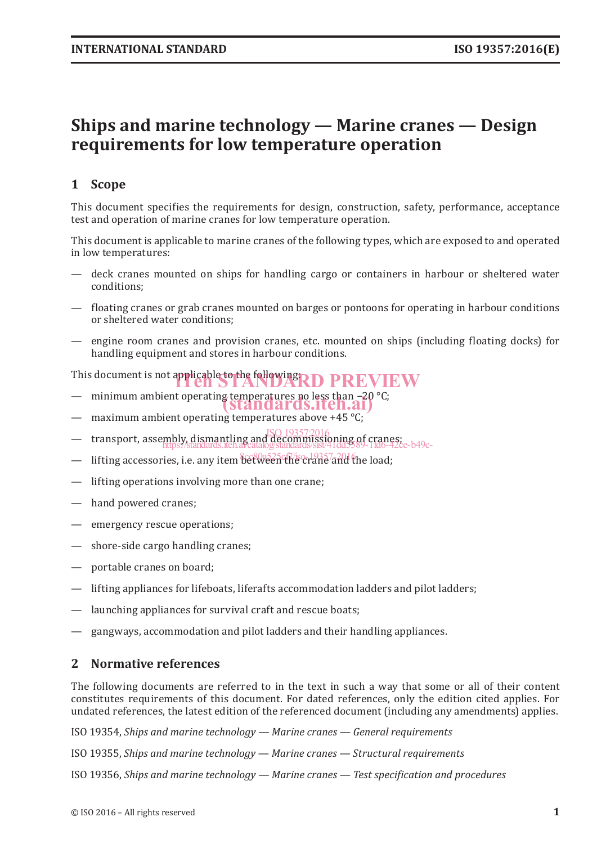## **Ships and marine technology — Marine cranes — Design requirements for low temperature operation**

## **1 Scope**

This document specifies the requirements for design, construction, safety, performance, acceptance test and operation of marine cranes for low temperature operation.

This document is applicable to marine cranes of the following types, which are exposed to and operated in low temperatures:

- deck cranes mounted on ships for handling cargo or containers in harbour or sheltered water conditions;
- floating cranes or grab cranes mounted on barges or pontoons for operating in harbour conditions or sheltered water conditions;
- engine room cranes and provision cranes, etc. mounted on ships (including floating docks) for handling equipment and stores in harbour conditions.

This document is not applicable to the following  $R$  D  $\overline{P}\overline{R}$   $\overline{V}\overline{E}$   $\overline{W}$ 

- minimum ambient operating temperatures no less than −20 °C;<br>
Standards.iteh.ai)
- $-$  maximum ambient operating temperatures above +45 °C;
- transport, assembly, dismantling and decommissioning of cranes;<br>https://www.standards.teh.arcatalogstandards/sist/41dd 89-11d6-47d ISO 19357:2016 https://standards.iteh.ai/catalog/standards/sist/41dd5589-1fd6-42ce-b49c-
- lifting accessories, i.e. any item between the crane and the load;
- lifting operations involving more than one crane;
- hand powered cranes;
- emergency rescue operations;
- shore-side cargo handling cranes;
- portable cranes on board;
- lifting appliances for lifeboats, liferafts accommodation ladders and pilot ladders;
- launching appliances for survival craft and rescue boats;
- gangways, accommodation and pilot ladders and their handling appliances.

#### **2 Normative references**

The following documents are referred to in the text in such a way that some or all of their content constitutes requirements of this document. For dated references, only the edition cited applies. For undated references, the latest edition of the referenced document (including any amendments) applies.

ISO 19354, *Ships and marine technology — Marine cranes — General requirements*

ISO 19355, *Ships and marine technology — Marine cranes — Structural requirements*

ISO 19356, *Ships and marine technology — Marine cranes — Test specification and procedures*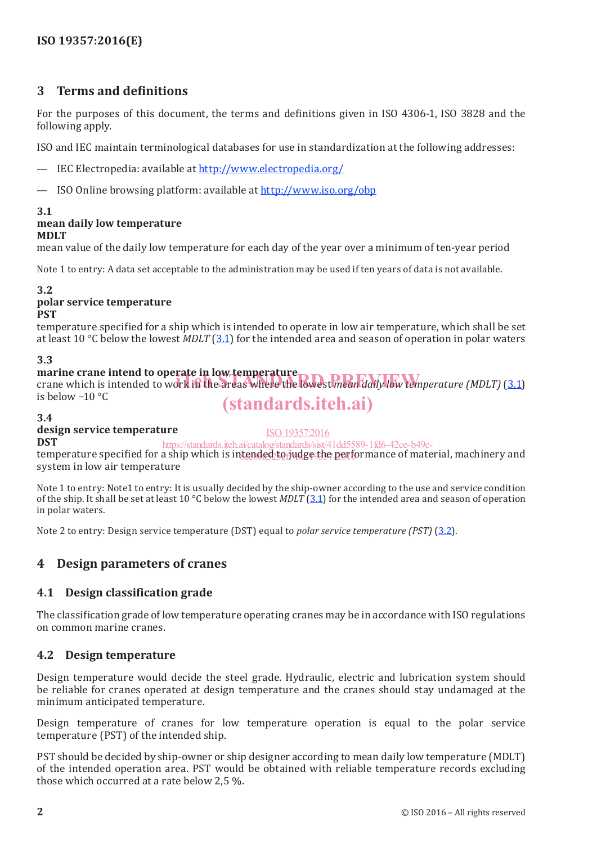### **3 Terms and definitions**

For the purposes of this document, the terms and definitions given in ISO 4306-1, ISO 3828 and the following apply.

ISO and IEC maintain terminological databases for use in standardization at the following addresses:

- IEC Electropedia: available at http://www.electropedia.org/
- ISO Online browsing platform: available at http://www.iso.org/obp

#### **3.1**

### **mean daily low temperature**

**MDLT**

mean value of the daily low temperature for each day of the year over a minimum of ten-year period

Note 1 to entry: A data set acceptable to the administration may be used if ten years of data is not available.

#### **3.2**

#### **polar service temperature PST**

temperature specified for a ship which is intended to operate in low air temperature, which shall be set at least 10 °C below the lowest *MDLT* (3.1) for the intended area and season of operation in polar waters

#### **3.3**

**marine crane intend to operate in low temperature** marine crane intend to operate in low temperature<br>crane which is intended to work in the areas where the lowest *mean daily low temperature (MDLT)* (3.1) is below −10 °C (standards.iteh.ai)

#### **3.4**

### **design service temperature**

ISO 19357:2016

**DST** temperature specified for a ship which is intended to judge the performance of material, machinery and system in low air temperature https://standards.iteh.ai/catalog/standards/sist/41dd5589-1fd6-42ce-b49c-

Note 1 to entry: Note1 to entry: It is usually decided by the ship-owner according to the use and service condition of the ship. It shall be set at least 10 °C below the lowest *MDLT* (3.1) for the intended area and season of operation in polar waters.

Note 2 to entry: Design service temperature (DST) equal to *polar service temperature (PST)* (3.2).

### **4 Design parameters of cranes**

#### **4.1 Design classification grade**

The classification grade of low temperature operating cranes may be in accordance with ISO regulations on common marine cranes.

#### **4.2 Design temperature**

Design temperature would decide the steel grade. Hydraulic, electric and lubrication system should be reliable for cranes operated at design temperature and the cranes should stay undamaged at the minimum anticipated temperature.

Design temperature of cranes for low temperature operation is equal to the polar service temperature (PST) of the intended ship.

PST should be decided by ship-owner or ship designer according to mean daily low temperature (MDLT) of the intended operation area. PST would be obtained with reliable temperature records excluding those which occurred at a rate below 2,5 %.